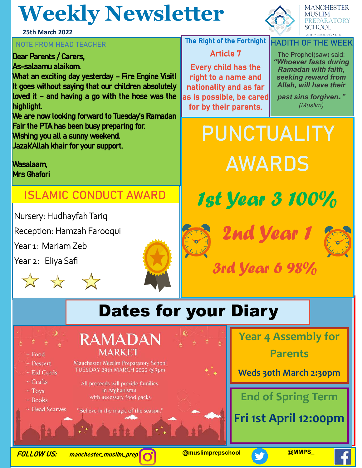## **Weekly Newsletter**

**25th March 2022**

#### **NOTE FROM HEAD TEACHER THE RIGHT THE Right of the Fortnight**

Dear Parents / Carers, As-salaamu alaikom. What an exciting day yesterday - Fire Engine Visit! It goes without saying that our children absolutely loved it – and having a go with the hose was the highlight. We are now looking forward to Tuesday's Ramadan

Fair the PTA has been busy preparing for. Wishing you all a sunny weekend.

Jazak'Allah khair for your support.

Wasalaam, Mrs Ghafori

#### **ISLAMIC CONDUCT AWARD**

Nursery: Hudhayfah Tariq

Reception: Hamzah Farooqui

Year 1: Mariam Zeb

Year 2: Eliya Safi



#### **PREPARATORY SCHOOL**

**FAITH . LEARNING . LIFE HADITH OF THE WEEK**

**MANCHESTER MUSLIM** 

Article 7

Every child has the right to a name and nationality and as far as is possible, be cared for by their parents.

The Prophet(saw) said: *"Whoever fasts during Ramadan with faith, seeking reward from Allah, will have their* 

*past sins forgiven." (Muslim)*

**PUNCTUALITY AWARDS**









## 3rd Year 6 98%

## Dates for your Diary



- $-$  Food
- ~ Dessert
- $-$  Eid Cards
- $\sim$  Crafts
- $Tovs$
- $\sim$  Books
- ~ Head Scarves



Manchester Muslim Preparatory School TUESDAY 29th MARCH 2022 @3pm

All proceeds will provide families in Afghanistan with necessary food packs

"Believe in the magic of the season."

**Year 4 Assembly for** 

**Parents**

**Weds 30th March 2:30pm**

### **End of Spring Term**

**Fri 1st April 12:00pm**

FOLLOW US: manchester\_muslim\_prep **@muslimprepschool @MMPS\_**